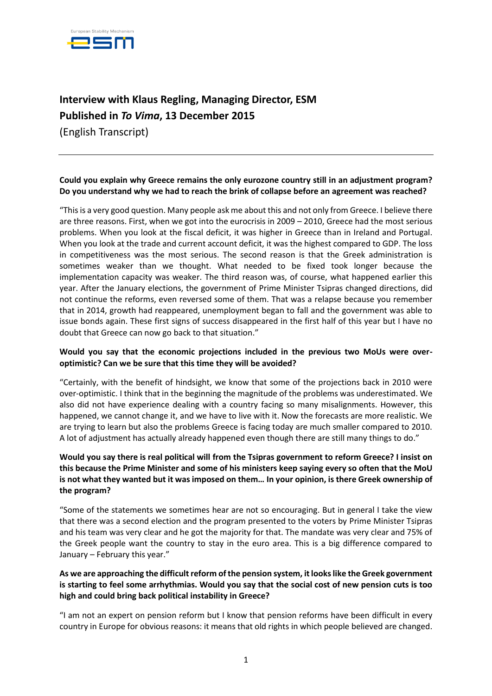

# **Interview with Klaus Regling, Managing Director, ESM Published in** *To Vima***, 13 December 2015**

(English Transcript)

# **Could you explain why Greece remains the only eurozone country still in an adjustment program? Do you understand why we had to reach the brink of collapse before an agreement was reached?**

"This is a very good question. Many people ask me about this and not only from Greece. I believe there are three reasons. First, when we got into the eurocrisis in 2009 – 2010, Greece had the most serious problems. When you look at the fiscal deficit, it was higher in Greece than in Ireland and Portugal. When you look at the trade and current account deficit, it was the highest compared to GDP. The loss in competitiveness was the most serious. The second reason is that the Greek administration is sometimes weaker than we thought. What needed to be fixed took longer because the implementation capacity was weaker. The third reason was, of course, what happened earlier this year. After the January elections, the government of Prime Minister Tsipras changed directions, did not continue the reforms, even reversed some of them. That was a relapse because you remember that in 2014, growth had reappeared, unemployment began to fall and the government was able to issue bonds again. These first signs of success disappeared in the first half of this year but I have no doubt that Greece can now go back to that situation."

## **Would you say that the economic projections included in the previous two MoUs were overoptimistic? Can we be sure that this time they will be avoided?**

"Certainly, with the benefit of hindsight, we know that some of the projections back in 2010 were over-optimistic. I think that in the beginning the magnitude of the problems was underestimated. We also did not have experience dealing with a country facing so many misalignments. However, this happened, we cannot change it, and we have to live with it. Now the forecasts are more realistic. We are trying to learn but also the problems Greece is facing today are much smaller compared to 2010. A lot of adjustment has actually already happened even though there are still many things to do."

## **Would you say there is real political will from the Tsipras government to reform Greece? I insist on this because the Prime Minister and some of his ministers keep saying every so often that the MoU is not what they wanted but it was imposed on them… In your opinion, is there Greek ownership of the program?**

"Some of the statements we sometimes hear are not so encouraging. But in general I take the view that there was a second election and the program presented to the voters by Prime Minister Tsipras and his team was very clear and he got the majority for that. The mandate was very clear and 75% of the Greek people want the country to stay in the euro area. This is a big difference compared to January – February this year."

## **As we are approaching the difficult reform of the pension system, it looks like the Greek government is starting to feel some arrhythmias. Would you say that the social cost of new pension cuts is too high and could bring back political instability in Greece?**

"I am not an expert on pension reform but I know that pension reforms have been difficult in every country in Europe for obvious reasons: it means that old rights in which people believed are changed.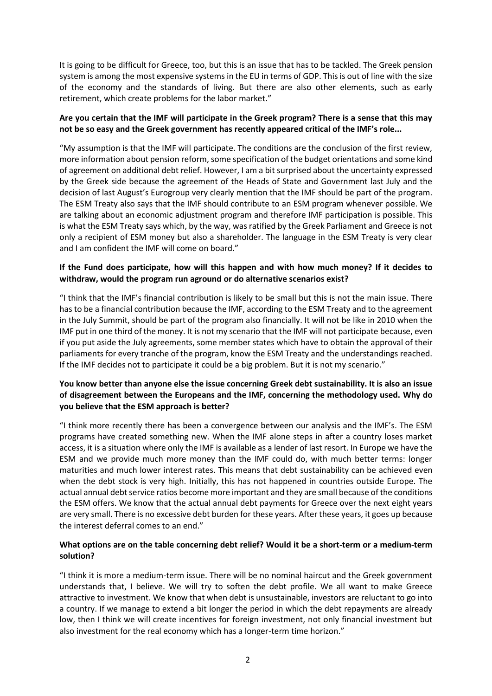It is going to be difficult for Greece, too, but this is an issue that has to be tackled. The Greek pension system is among the most expensive systems in the EU in terms of GDP. This is out of line with the size of the economy and the standards of living. But there are also other elements, such as early retirement, which create problems for the labor market."

## **Are you certain that the IMF will participate in the Greek program? There is a sense that this may not be so easy and the Greek government has recently appeared critical of the IMF's role...**

"My assumption is that the IMF will participate. The conditions are the conclusion of the first review, more information about pension reform, some specification of the budget orientations and some kind of agreement on additional debt relief. However, I am a bit surprised about the uncertainty expressed by the Greek side because the agreement of the Heads of State and Government last July and the decision of last August's Eurogroup very clearly mention that the IMF should be part of the program. The ESM Treaty also says that the IMF should contribute to an ESM program whenever possible. We are talking about an economic adjustment program and therefore IMF participation is possible. This is what the ESM Treaty says which, by the way, was ratified by the Greek Parliament and Greece is not only a recipient of ESM money but also a shareholder. The language in the ESM Treaty is very clear and I am confident the IMF will come on board."

## **If the Fund does participate, how will this happen and with how much money? If it decides to withdraw, would the program run aground or do alternative scenarios exist?**

"I think that the IMF's financial contribution is likely to be small but this is not the main issue. There has to be a financial contribution because the IMF, according to the ESM Treaty and to the agreement in the July Summit, should be part of the program also financially. It will not be like in 2010 when the IMF put in one third of the money. It is not my scenario that the IMF will not participate because, even if you put aside the July agreements, some member states which have to obtain the approval of their parliaments for every tranche of the program, know the ESM Treaty and the understandings reached. If the IMF decides not to participate it could be a big problem. But it is not my scenario."

## **You know better than anyone else the issue concerning Greek debt sustainability. It is also an issue of disagreement between the Europeans and the IMF, concerning the methodology used. Why do you believe that the ESM approach is better?**

"I think more recently there has been a convergence between our analysis and the IMF's. The ESM programs have created something new. When the IMF alone steps in after a country loses market access, it is a situation where only the IMF is available as a lender of last resort. In Europe we have the ESM and we provide much more money than the IMF could do, with much better terms: longer maturities and much lower interest rates. This means that debt sustainability can be achieved even when the debt stock is very high. Initially, this has not happened in countries outside Europe. The actual annual debt service ratios become more important and they are small because of the conditions the ESM offers. We know that the actual annual debt payments for Greece over the next eight years are very small. There is no excessive debt burden for these years. After these years, it goes up because the interest deferral comes to an end."

## **What options are on the table concerning debt relief? Would it be a short-term or a medium-term solution?**

"I think it is more a medium-term issue. There will be no nominal haircut and the Greek government understands that, I believe. We will try to soften the debt profile. We all want to make Greece attractive to investment. We know that when debt is unsustainable, investors are reluctant to go into a country. If we manage to extend a bit longer the period in which the debt repayments are already low, then I think we will create incentives for foreign investment, not only financial investment but also investment for the real economy which has a longer-term time horizon."